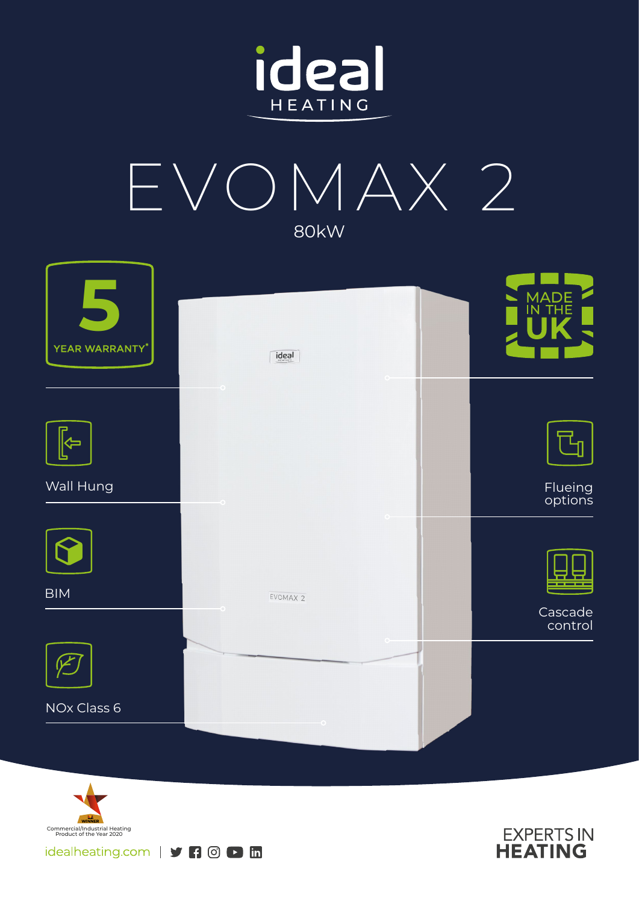



| YEAR WARRANTY*        | $\frac{1}{\text{ideal}}$ | MADE<br>IN THE     |
|-----------------------|--------------------------|--------------------|
|                       | $\circ$                  |                    |
| $\blacktriangleright$ |                          |                    |
| Wall Hung             |                          | Flueing<br>options |
|                       |                          |                    |
| <b>BIM</b>            | EVOMAX 2                 |                    |
|                       |                          | Cascade<br>control |
|                       |                          |                    |
| NOx Class 6           |                          |                    |
|                       |                          |                    |



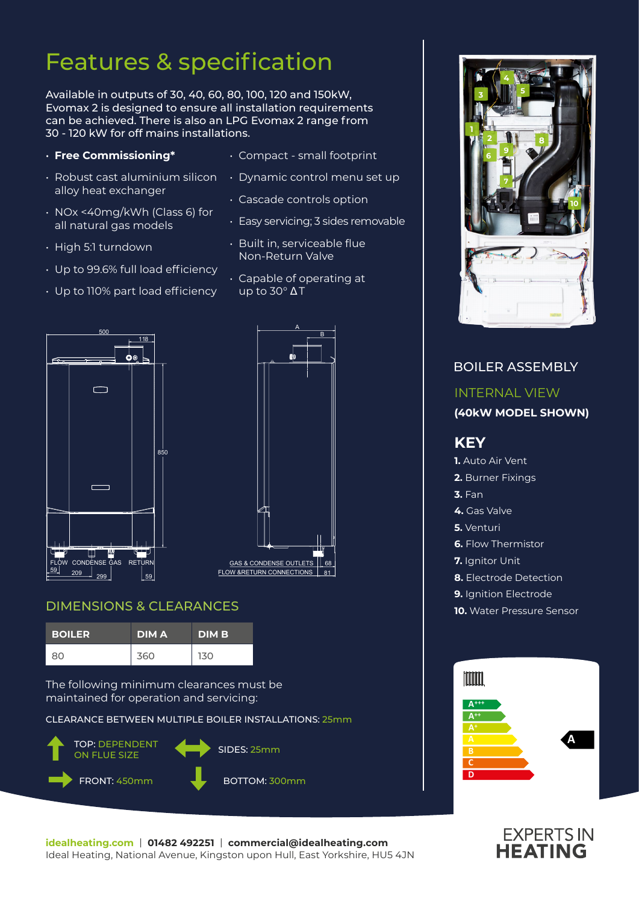## Features & specification

Available in outputs of 30, 40, 60, 80, 100, 120 and 150kW, Evomax 2 is designed to ensure all installation requirements can be achieved. There is also an LPG Evomax 2 range from 30 - 120 kW for off mains installations.

### • **Free Commissioning\***

- Robust cast aluminium silicon alloy heat exchanger
- NOx <40mg/kWh (Class 6) for all natural gas models
- High 5:1 turndown
- Up to 99.6% full load efficiency

• Up to 110% part load efficiency

• Dynamic control menu set up

• Compact - small footprint

- Cascade controls option
- Easy servicing; 3 sides removable
- Built in, serviceable flue Non-Return Valve
- Capable of operating at up to 30° Δ T





### DIMENSIONS & CLEARANCES

| <b>BOILER</b> | <b>DIMA</b> | <b>DIMB</b> |
|---------------|-------------|-------------|
| 80            | 360         | 130         |

The following minimum clearances must be maintained for operation and servicing:

CLEARANCE BETWEEN MULTIPLE BOILER INSTALLATIONS: 25mm





### BOILER ASSEMBLY INTERNAL VIEW **(40kW MODEL SHOWN) KEY 1.** Auto Air Vent **2.** Burner Fixings **3.** Fan **4.** Gas Valve **5.** Venturi **6.** Flow Thermistor **7.** Ianitor Unit **8.** Electrode Detection **9.** Ignition Electrode **10.** Water Pressure Sensor Imm **A+++ A++ A A C D**

# **EXPERTS IN**<br>**HEATING**

**idealheating.com** | **01482 492251** | **commercial@idealheating.com**  Ideal Heating, National Avenue, Kingston upon Hull, East Yorkshire, HU5 4JN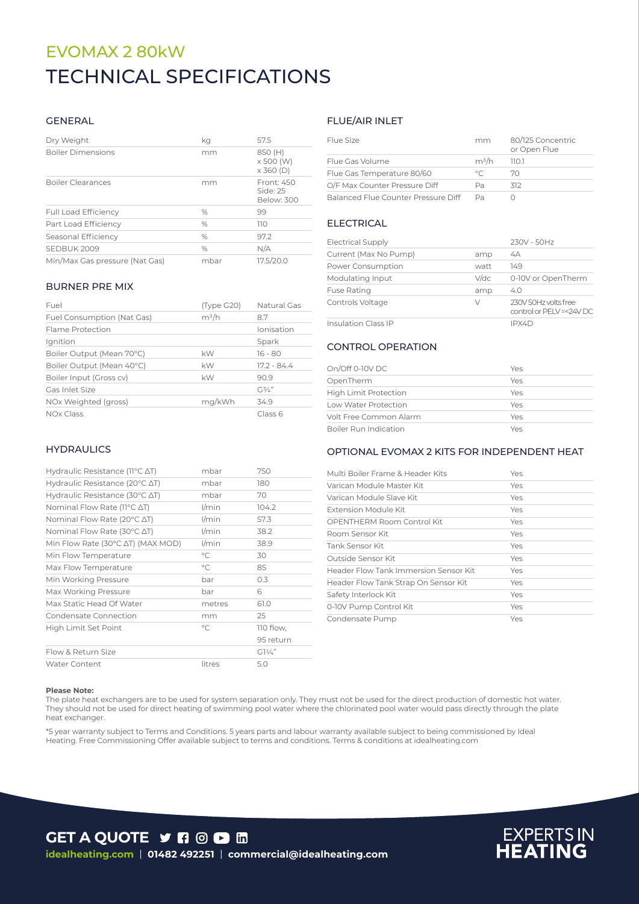### TECHNICAL SPECIFICATIONS EVOMAX 2 80kW

### GENERAL

| Dry Weight                     | kq   | 57.5                                     |
|--------------------------------|------|------------------------------------------|
| <b>Boiler Dimensions</b>       | mm   | 850 (H)<br>x 500 (W)<br>$\times$ 360 (D) |
| <b>Boiler Clearances</b>       | mm   | Front: 450<br>Side: 25<br>Below: 300     |
| <b>Full Load Efficiency</b>    | %    | 99                                       |
| Part Load Efficiency           | $\%$ | 110                                      |
| Seasonal Efficiency            | $\%$ | 97.2                                     |
| SEDBUK 2009                    | %    | N/A                                      |
| Min/Max Gas pressure (Nat Gas) | mbar | 17.5/20.0                                |

#### BURNER PRE MIX

| Fuel                       | (Type G20) | Natural Gas   |
|----------------------------|------------|---------------|
| Fuel Consumption (Nat Gas) | $m^3/h$    | 8.7           |
| Flame Protection           |            | Ionisation    |
| Ignition                   |            | Spark         |
| Boiler Output (Mean 70°C)  | kW         | $16 - 80$     |
| Boiler Output (Mean 40°C)  | kW         | $17.2 - 84.4$ |
| Boiler Input (Gross cv)    | kW         | 90.9          |
| Gas Inlet Size             |            | $G^{3/2}$     |
| NOx Weighted (gross)       | mg/kWh     | 34.9          |
| NOx Class                  |            | Class 6       |

### **HYDRAULICS**

| Hydraulic Resistance ( $11^{\circ}$ C $\Delta$ T)   | mbar         | 750             |
|-----------------------------------------------------|--------------|-----------------|
| Hydraulic Resistance (20 $\degree$ C $\triangle$ T) | mbar         | 180             |
| Hydraulic Resistance (30 $\degree$ C $\triangle$ T) | mbar         | 70              |
| Nominal Flow Rate (11°C ∆T)                         | $1/m$ in     | 104.2           |
| Nominal Flow Rate (20°C ΔT)                         | l/min        | 57.3            |
| Nominal Flow Rate (30°C ∆T)                         | $1/m$ in     | 38.2            |
| Min Flow Rate (30°C ∆T) (MAX MOD)                   | l/min        | 38.9            |
| Min Flow Temperature                                | $^{\circ}$ C | 30              |
| Max Flow Temperature                                | $^{\circ}C$  | 85              |
| Min Working Pressure                                | bar          | 0.3             |
| Max Working Pressure                                | bar          | 6               |
| Max Static Head Of Water                            | metres       | 61.0            |
| Condensate Connection                               | mm           | 25              |
| High Limit Set Point                                | $\circ$ C    | 110 flow,       |
|                                                     |              | 95 return       |
| Flow & Return Size                                  |              | $GI\frac{1}{4}$ |
| <b>Water Content</b>                                | litres       | 5.0             |

### FLUE/AIR INLET

| Flue Size                           | mm             | 80/125 Concentric<br>or Open Flue |
|-------------------------------------|----------------|-----------------------------------|
| Flue Gas Volume                     | $m^3/h$        | 1101                              |
| Flue Gas Temperature 80/60          | $\circ$ $\cap$ | 70                                |
| O/F Max Counter Pressure Diff       | Pa             | 312                               |
| Balanced Flue Counter Pressure Diff | Dа             |                                   |

### ELECTRICAL

| <b>Electrical Supply</b>   |         | 230V - 50Hz                                       |
|----------------------------|---------|---------------------------------------------------|
| Current (Max No Pump)      | amp     | 4A                                                |
| Power Consumption          | watt    | 149                                               |
| Modulating Input           | $V$ /dc | 0-10V or OpenTherm                                |
| <b>Fuse Rating</b>         | amp     | 4.0                                               |
| Controls Voltage           | V       | 230V 50Hz volts free<br>control or PELV =< 24V DC |
| <b>Insulation Class IP</b> |         | IPX4D                                             |

### CONTROL OPERATION

| On/Off 0-10V DC              | Yes |
|------------------------------|-----|
| OpenTherm                    | Yes |
| <b>High Limit Protection</b> | Yes |
| Low Water Protection         | Yes |
| Volt Free Common Alarm       | Yes |
| Boiler Run Indication        | Yes |

#### OPTIONAL EVOMAX 2 KITS FOR INDEPENDENT HEAT

| Multi Boiler Frame & Header Kits      | Yes |
|---------------------------------------|-----|
| Varican Module Master Kit             | Yes |
| Varican Module Slave Kit              | Yes |
| Extension Module Kit                  | Yes |
| OPENTHERM Room Control Kit            | Yes |
| Room Sensor Kit                       | Yes |
| Tank Sensor Kit                       | Yes |
| Outside Sensor Kit                    | Yes |
| Header Flow Tank Immersion Sensor Kit | Yes |
| Header Flow Tank Strap On Sensor Kit  | Yes |
| Safety Interlock Kit                  | Yes |
| 0-10V Pump Control Kit                | Yes |
| Condensate Pump                       | Yes |

#### **Please Note:**

The plate heat exchangers are to be used for system separation only. They must not be used for the direct production of domestic hot water. They should not be used for direct heating of swimming pool water where the chlorinated pool water would pass directly through the plate heat exchanger.

\*5 year warranty subject to Terms and Conditions. 5 years parts and labour warranty available subject to being commissioned by Ideal Heating. Free Commissioning Offer available subject to terms and conditions. Terms & conditions at idealheating.com